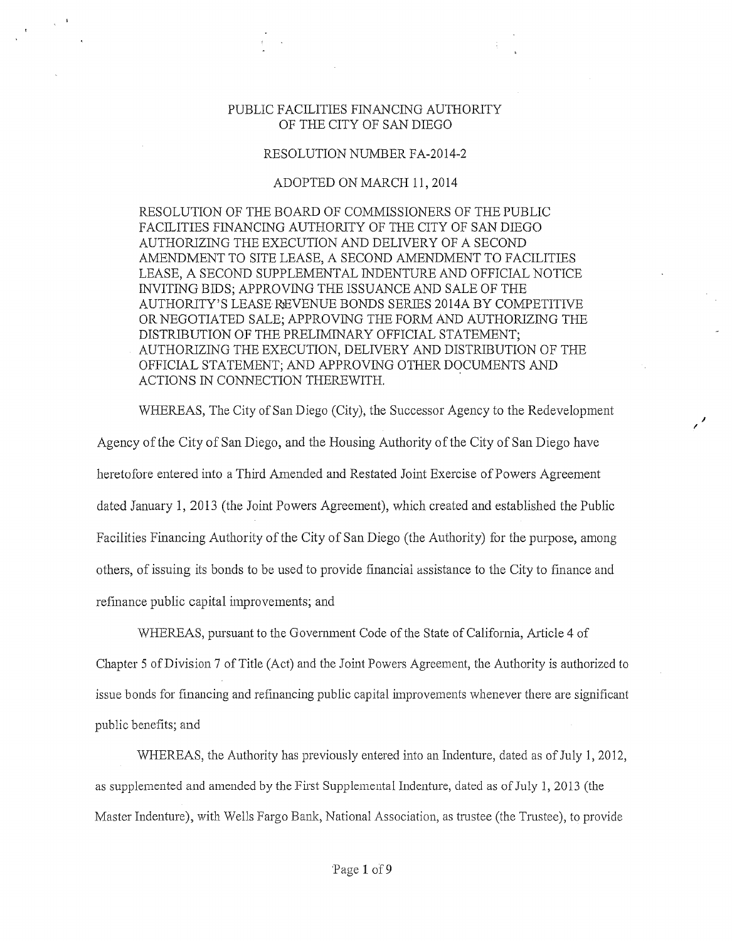## PUBLIC FACILITIES FINANCING AUTHORITY OF THE CITY OF SAN DIEGO

## RESOLUTION NUMBER FA-2014-2

## ADOPTED ON MARCH 11, 2014

RESOLUTION OF THE BOARD OF COMMISSIONERS OF THE PUBLIC FACILITIES FINANCING AUTHORITY OF THE CITY OF SAN DIEGO AUTHORIZING THE EXECUTION AND DELIVERY OF A SECOND AMENDMENT TO SITE LEASE, A SECOND AMENDMENT TO FACILITIES LEASE, A SECOND SUPPLEMENTAL INDENTURE AND OFFICIAL NOTICE INVITING BIDS; APPROVING THE ISSUANCE AND SALE OF THE AUTHORITY'S LEASE REVENUE BONDS SERIES 2014A BY COMPETITIVE OR NEGOTIATED SALE; APPROVING THE FORM AND AUTHORIZING THE DISTRIBUTION OF THE PRELIMINARY OFFICIAL STATEMENT; AUTHORIZING THE EXECUTION, DELIVERY AND DISTRIBUTION OF THE OFFICIAL STATEMENT; AND APPROVING OTHER DOCUMENTS AND ACTIONS IN CONNECTION THEREWITH.

WHEREAS, The City of San Diego (City), the Successor Agency to the Redevelopment Agency of the City of San Diego, and the Housing Authority of the City of San Diego have heretofore entered into a Third Amended and Restated Joint Exercise of Powers Agreement dated January 1, 2013 (the Joint Powers Agreement), which created and established the Public Facilities Financing Authority of the City of San Diego (the Authority) for the purpose, among others, of issuing its bonds to be used to provide financial assistance to the City to finance and refinance public capital improvements; and

 $\epsilon'$ 

WHEREAS, pursuant to the Govemment Code of the State of California, Article 4 of Chapter 5 of Division 7 of Title (Act) and the Joint Powers Agreement, the Authority is authorized to issue bonds for financing and refinancing public capital improvements whenever there are significant public benefits; and

WHEREAS, the Authority has previously entered into an Indenture, dated as of July 1, 2012, as supplemented and amended by the First Supplemental Indenture, dated as of July 1, 2013 (the Master Indenture), with Wells Fargo Bank, National Association, as trustee (the Trustee), to provide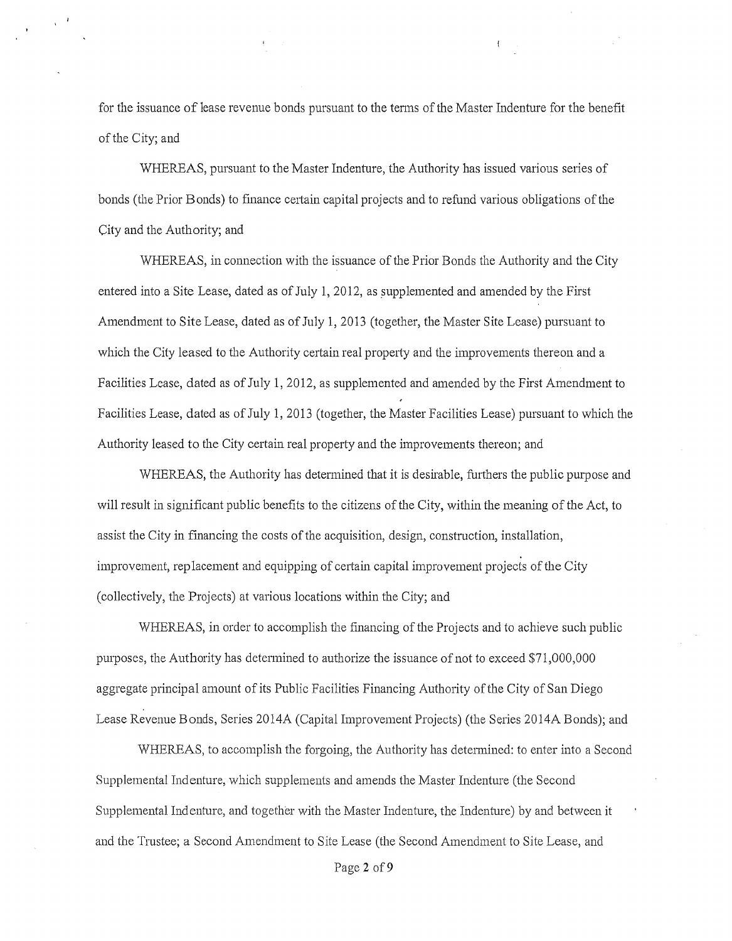for the issuance of lease revenue bonds pursuant to the terms of the Master Indenture for the benefit of the City; and

WHEREAS, pursuant to the Master Indenture, the Authority has issued various series of bonds (the Prior Bonds) to finance cettain capital projects and to refund various obligations of the City and the Authority; and

WHEREAS, in connection with the issuance of the Prior Bonds the Authority and the City entered into a Site Lease, dated as of July 1, 2012, as supplemented and amended by the First Amendment to Site Lease, dated as of July 1, 2013 (together, the Master Site Lease) pursuant to which the City leased to the Authority certain real property and the improvements thereon and a Facilities Lease, dated as of July 1, 2012, as supplemented and amended by the First Amendment to Facilities Lease, dated as of July 1, 2013 (together, the Master Facilities Lease) pursuant to which the Authority leased to the City certain real propetiy and the improvements thereon; and

WHEREAS, the Authority has detennined that it is desirable, futthers the public purpose and will result in significant public benefits to the citizens of the City, within the meaning of the Act, to assist the City in financing the costs of the acquisition, design, construction, installation, improvement, replacement and equipping of cettain capital improvement projects of the City (collectively, the Projects) at various locations within the City; and

WHEREAS, in order to accomplish the financing of the Projects and to achieve such public purposes, the Authority has determined to authorize the issuance of not to exceed \$71,000,000 aggregate principal amount of its Public Facilities Financing Authority of the City of San Diego Lease Revenue Bonds, Series 2014A (Capital Improvement Projects) (the Series 2014A Bonds); and

WHEREAS, to accomplish the forgoing, the Authority has determined: to enter into a Second Supplemental Indenture, which supplements and amends the Master Indenture (the Second Supplemental Indenture, and together with the Master Indenture, the Indenture) by and between it and the Trustee; a Second Amendment to Site Lease (the Second Amendment to Site Lease, and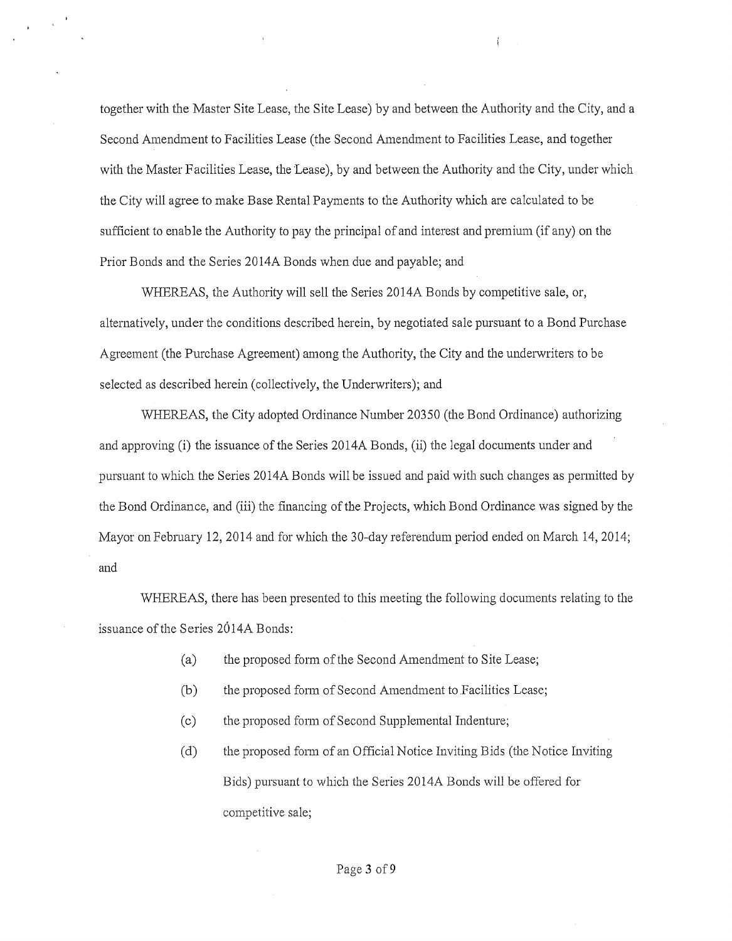together with the Master Site Lease, the Site Lease) by and between the Authority and the City, and a Second Amendment to Facilities Lease (the Second Amendment to Facilities Lease, and together with the Master Facilities Lease, the Lease), by and between the Authority and the City, under which the City will agree to make Base Rental Payments to the Authority which are calculated to be sufficient to enable the Authority to pay the principal of and interest and premium (if any) on the Prior Bonds and the Series 2014A Bonds when due and payable; and

 $\mathcal{L}$ 

WHEREAS, the Authority will sell the Series 2014A Bonds by competitive sale, or, alternatively, under the conditions described herein, by negotiated sale pursuant to a Bond Purchase Agreement (the Purchase Agreement) among the Authority, the City and the underwriters to be selected as described herein (collectively, the Underwriters); and

WHEREAS, the City adopted Ordinance Number 20350 (the Bond Ordinance) authorizing and approving (i) the issuance of the Series 20 14A Bonds, (ii) the legal documents under and pursuant to which the Series 2014A Bonds will be issued and paid with such changes as permitted by the Bond Ordinance, and (iii) the financing of the Projects, which Bond Ordinance was signed by the Mayor on Febmary 12, 2014 and for which the 30-day referendum period ended on March 14, 2014; and

WHEREAS, there has been presented to this meeting the following documents relating to the issuance of the Series 2014A Bonds:

- (a) the proposed form of the Second Amendment to Site Lease;
- (b) the proposed form of Second Amendment to Facilities Lease;
- (c) the proposed form of Second Supplemental Indenture;
- (d) the proposed f01m of an Official Notice Inviting Bids (the Notice Inviting Bids) pursuant to which the Series 2014A Bonds will be offered for competitive sale;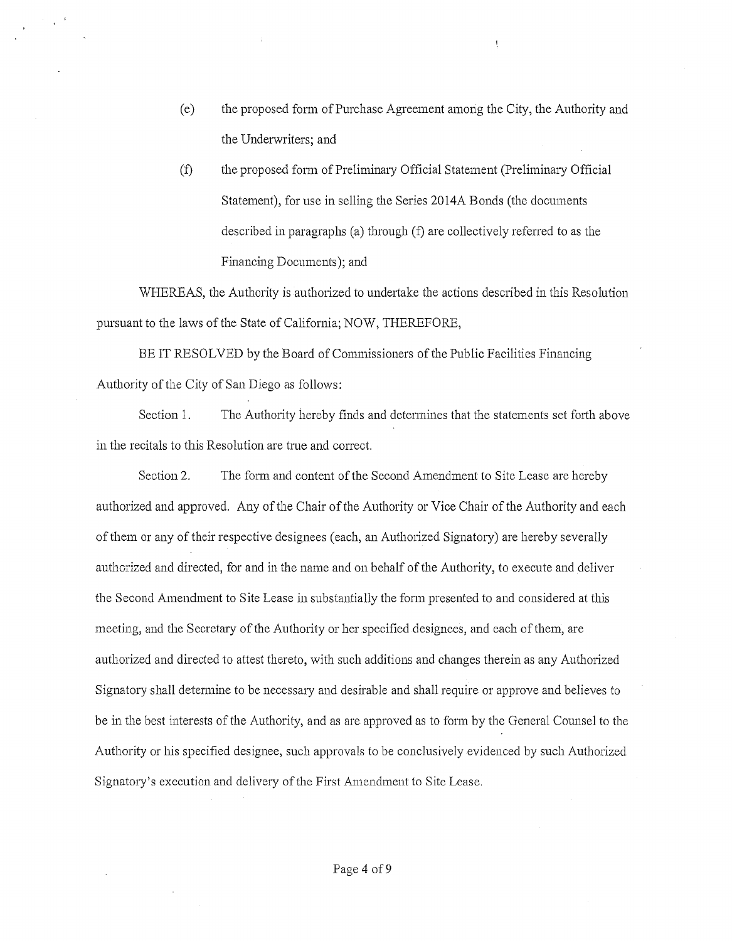(e) the proposed form of Purchase Agreement among the City, the Authority and the Underwriters; and

 $\mathbf{I}$ 

(f) the proposed form of Preliminary Official Statement (Preliminary Official Statement), for use in selling the Series 2014A Bonds (the documents described in paragraphs (a) through (f) are collectively referred to as the Financing Documents); and

WHEREAS, the Authority is authorized to undertake the actions described in this Resolution pursuant to the laws of the State of California; NOW, THEREFORE,

BE IT RESOLVED by the Board of Commissioners of the Public Facilities Financing Authority of the City of San Diego as follows:

Section 1. The Authority hereby finds and determines that the statements set forth above in the recitals to this Resolution are true and correct.

Section2. The fonn and content of the Second Amendment to Site Lease are hereby authorized and approved. Any of the Chair of the Authority or Vice Chair of the Authority and each of them or any of their respective designees (each, an Authorized Signatory) are hereby severally authorized and directed, for and in the name and on behalf of the Authority, to execute and deliver the Second Amendment to Site Lease in substantially the form presented to and considered at this meeting, and the Secretary of the Authority or her specified designees, and each of them, are authorized and directed to attest thereto, with such additions and changes therein as any Authorized Signatory shall determine to be necessary and desirable and shall require or approve and believes to be in the best interests of the Authority, and as are approved as to form by the General Counsel to the Authority or his specified designee, such approvals to be conclusively evidenced by such Authorized Signatory's execution and delivery of the First Amendment to Site Lease.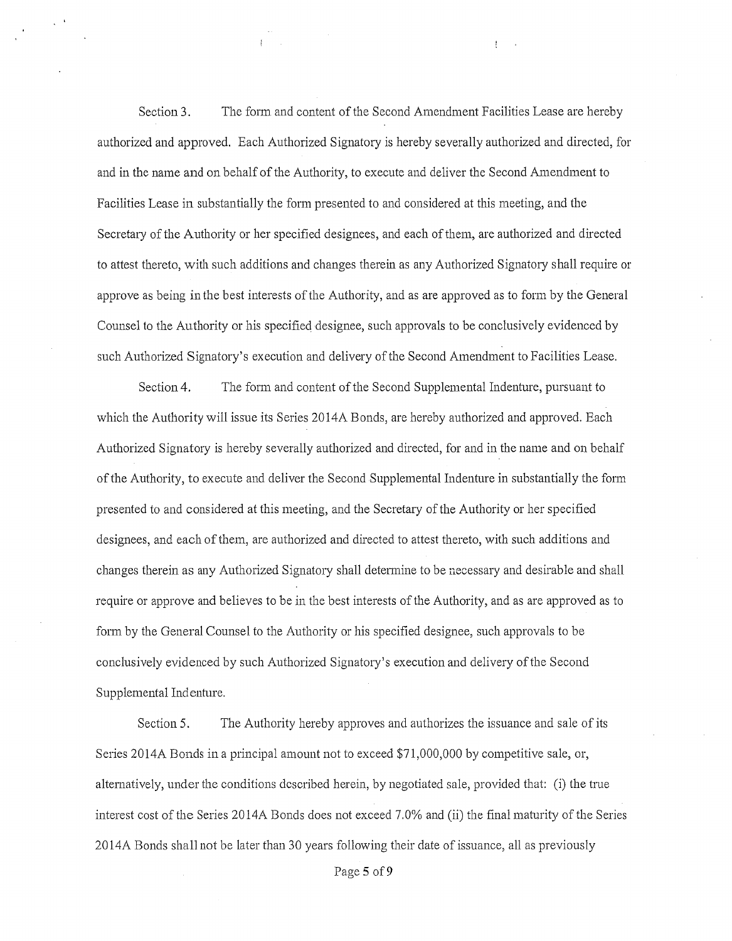Section 3. The form and content of the Second Amendment Facilities Lease are hereby authorized and approved. Each Authorized Signatory is hereby severally authorized and directed, for and in the name and on behalf of the Authority, to execute and deliver the Second Amendment to Facilities Lease in substantially the form presented to and considered at this meeting, and the Secretary of the Authority or her specified designees, and each ofthem, are authorized and directed to attest thereto, with such additions and changes therein as any Authorized Signatory shall require or approve as being in the best interests of the Authority, and as are approved as to form by the General Counsel to the Authority or his specified designee, such approvals to be conclusively evidenced by such Authorized Signatory's execution and delivery of the Second Amendment to Facilities Lease.

Section 4. The form and content of the Second Supplemental Indenture, pursuant to which the Authority will issue its Series 2014A Bonds, are hereby authorized and approved. Each Authorized Signatory is hereby severally authorized and directed, for and in the name and on behalf of the Authority, to execute and deliver the Second Supplemental Indenture in substantially the fom1 presented to and considered at this meeting, and the Secretary of the Authority or her specified designees, and each of them, are authorized and directed to attest thereto, with such additions and changes therein as any Authorized Signatory shall determine to be necessary and desirable and shall require or approve and believes to be in the best interests of the Authority, and as are approved as to form by the General Counsel to the Authority or his specified designee, such approvals to be conclusively evidenced by such Authorized Signatory's execution and delivery of the Second Supplemental Indenture.

Section 5. The Authority hereby approves and authorizes the issuance and sale of its Series 2014A Bonds in a principal amount not to exceed \$71,000,000 by competitive sale, or, alternatively, under the conditions described herein, by negotiated sale, provided that: (i) the tme interest cost of the Series 2014A Bonds does not exceed 7.0% and (ii) the final maturity of the Series 20 14A Bonds shall not be later than 30 years following their date of issuance, all as previously

Page 5 of 9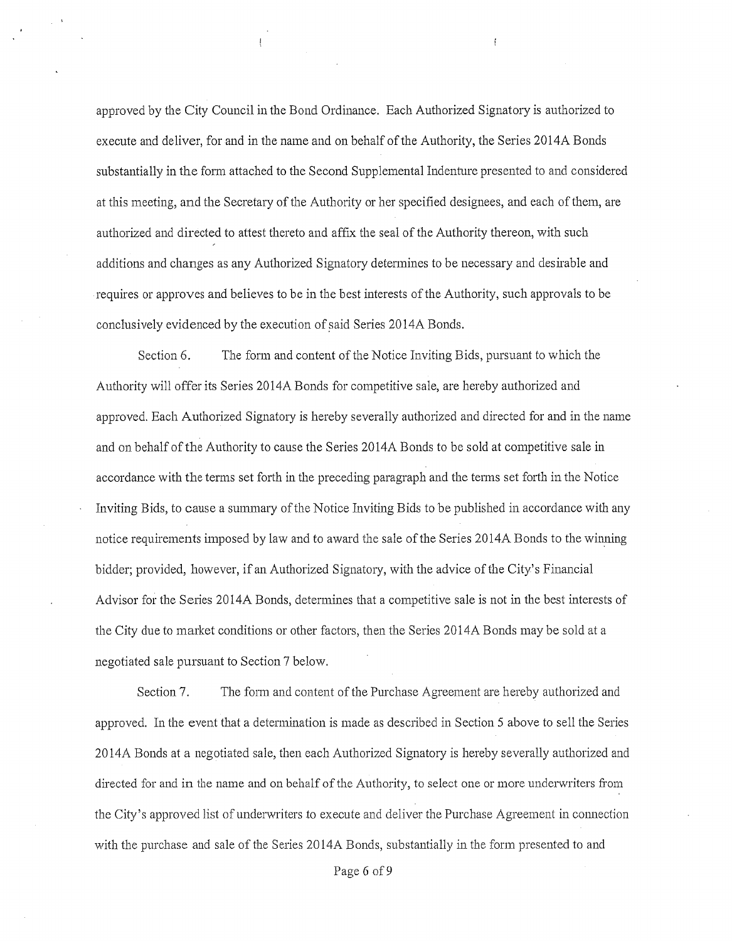approved by the City Council in the Bond Ordinance. Each Authorized Signatory is authorized to execute and deliver, for and in the name and on behalf of the Authority, the Series 2014A Bonds substantially in the form attached to the Second Supplemental Indenture presented to and considered at this meeting, and the Secretary of the Authority or her specified designees, and each of them, are authorized and directed to attest thereto and affix the seal of the Authority thereon, with such additions and changes as any Authorized Signatory determines to be necessary and desirable and requires or approves and believes to be in the best interests of the Authority, such approvals to be conclusively evidenced by the execution of said Series 2014A Bonds.

 $\left\{ \right.$ 

Section 6. The form and content of the Notice Inviting Bids, pursuant to which the Authority will offer its Series 2014A Bonds for competitive sale, are hereby authorized and approved. Each Authorized Signatory is hereby severally authorized and directed for and in the name and on behalf of the Authority to cause the Series 20 14A Bonds to be sold at competitive sale in accordance with the terms set forth in the preceding paragraph and the terms set forth in the Notice Inviting Bids, to cause a summary of the Notice Inviting Bids to be published in accordance with any notice requirements imposed by law and to award the sale of the Series 20 14A Bonds to the winning bidder; provided, however, if an Authorized Signatory, with the advice of the City's Financial Advisor for the Series 2014A Bonds, determines that a competitive sale is not in the best interests of the City due to market conditions or other factors, then the Series 20 14A Bonds may be sold at a negotiated sale pursuant to Section 7 below.

Section 7. The form and content of the Purchase Agreement are hereby authorized and approved. In the event that a determination is made as described in Section 5 above to sell the Series 20 14A Bonds at a negotiated sale, then each Authorized Signatory is hereby severally authorized and directed for and in the name and on behalf of the Authority, to select one or more underwriters from the City's approved list of underwriters to execute and deliver the Purchase Agreement in connection with the purchase and sale of the Series 2014A Bonds, substantially in the form presented to and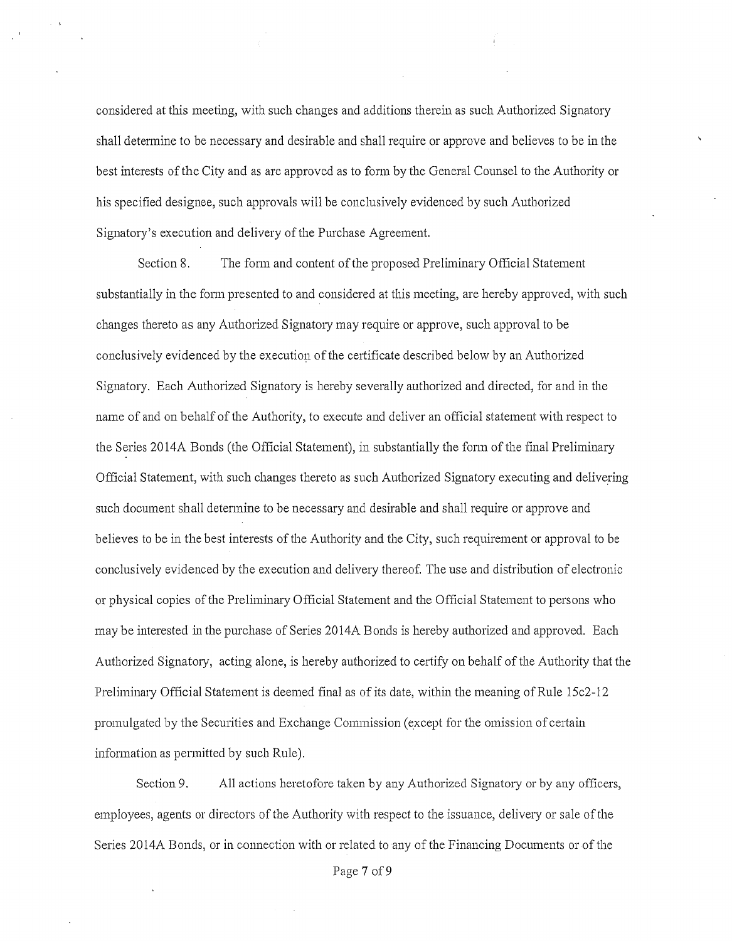considered at this meeting, with such changes and additions therein as such Authorized Signatory shall determine to be necessary and desirable and shall require or approve and believes to be in the best interests of the City and as are approved as to fonn by the General Counsel to the Authority or his specified designee, such approvals will be conclusively evidenced by such Authorized Signatory's execution and delivery of the Purchase Agreement.

Section 8. The form and content of the proposed Preliminary Official Statement substantially in the form presented to and considered at this meeting, are hereby approved, with such changes thereto as any Authorized Signatory may require or approve, such approval to be conclusively evidenced by the execution of the certificate described below by an Authorized Signatory. Each Authorized Signatory is hereby severally authorized and directed, for and in the name of and on behalf of the Authority, to execute and deliver an official statement with respect to the Series 2014A Bonds (the Official Statement), in substantially the form of the final Preliminary Official Statement, with such changes thereto as such Authorized Signatmy executing and delivering such document shall detennine to be necessary and desirable and shall require or approve and believes to be in the best interests of the Authority and the City, such requirement or approval to be conclusively evidenced by the execution and delivery thereof. The use and distribution of electronic or physical copies of the Preliminary Official Statement and the Official Statement to persons who may be interested in the purchase of Series 2014A Bonds is hereby authorized and approved. Each Authorized Signatory, acting alone, is hereby authorized to certify on behalf of the Authority that the Preliminary Official Statement is deemed final as of its date, within the meaning of Rule 15c2-12 promulgated by the Securities and Exchange Commission (except for the omission of certain information as permitted by such Rule).

Section 9. All actions heretofore taken by any Authorized Signatory or by any officers, employees, agents or directors of the Authority with respect to the issuance, delivery or sale ofthe Series 2014A Bonds, or in connection with or related to any of the Financing Documents or of the

Page 7 of 9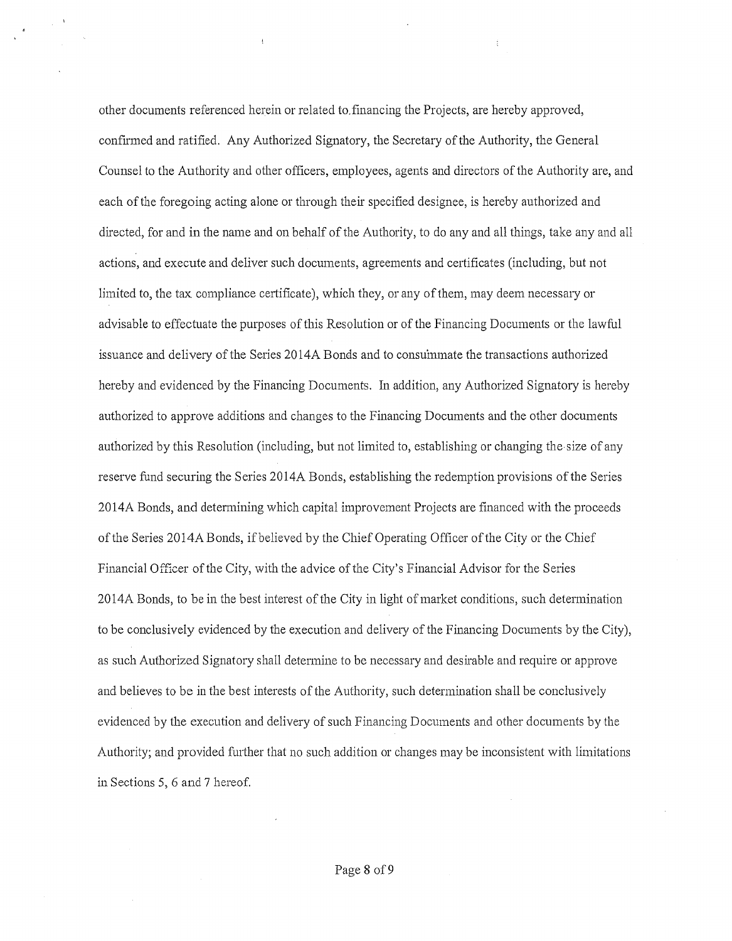other documents referenced herein or related to. financing the Projects, are hereby approved, confirmed and ratified. Any Authorized Signatory, the Secretary of the Authority, the General Counsel to the Authority and other officers, employees, agents and directors of the Authority are, and each of the foregoing acting alone or through their specified designee, is hereby authorized and directed, for and in the name and on behalf of the Authority, to do any and all things, take any and all actions, and execute and deliver such documents, agreements and certificates (including, but not limited to, the tax compliance certificate), which they, or any of them, may deem necessary or advisable to effectuate the purposes of this Resolution or of the Financing Documents or the lawful issuance and delivery of the Series 2014A Bonds and to consummate the transactions authorized hereby and evidenced by the Financing Documents. In addition, any Authorized Signatory is hereby authorized to approve additions and changes to the Financing Documents and the other documents authorized by this Resolution (including, but not limited to, establishing or changing the-size of any reserve fund securing the Series 2014A Bonds, establishing the redemption provisions of the Series 2014A Bonds, and determining which capital improvement Projects are financed with the proceeds of the Series 2014A Bonds, if believed by the Chief Operating Officer of the City or the Chief Financial Officer of the City, with the advice of the City's Financial Advisor for the Series 2014A Bonds, to be in the best interest of the City in light of market conditions, such determination to be conclusively evidenced by the execution and delivery of the Financing Documents by the City), as such Authorized Signatory shall determine to be necessary and desirable and require or approve and believes to be in the best interests of the Authority, such determination shall be conclusively evidenced by the execution and delivery of such Financing Documents and other documents by the Authority; and provided further that no such addition or changes may be inconsistent with limitations in Sections 5, 6 and 7 hereof.